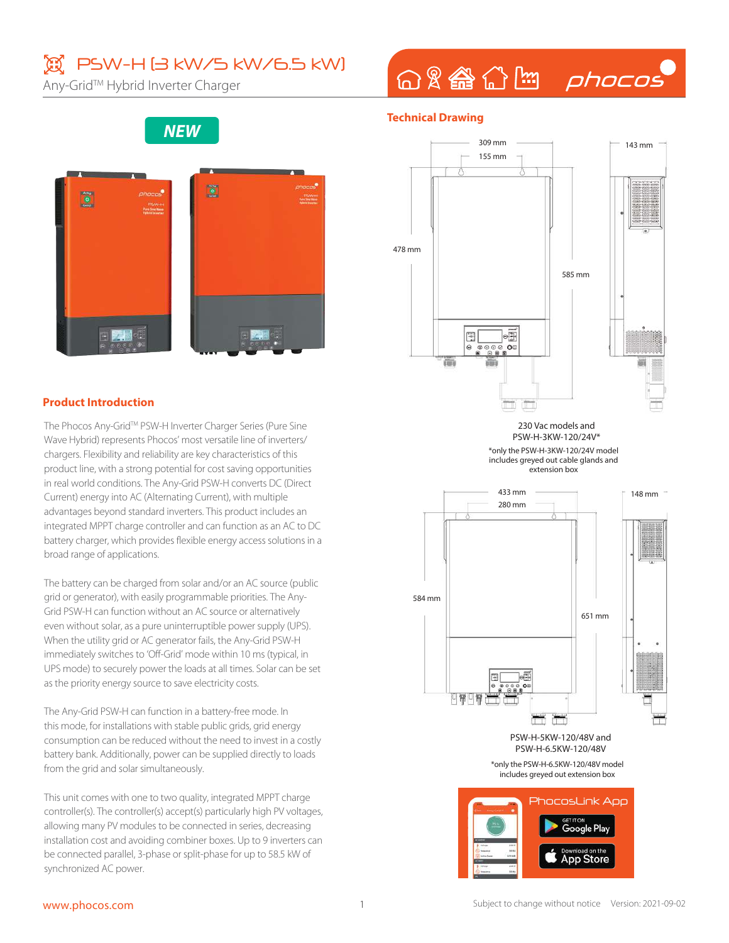## **③ PSW-H (3 kW/5 kW/6.5 kW)**

Any-Grid™ Hybrid Inverter Charger

## 命&备企图 phocos

### **NEW**



#### **Product Introduction**

The Phocos Any-Grid™ PSW-H Inverter Charger Series (Pure Sine Wave Hybrid) represents Phocos' most versatile line of inverters/ chargers. Flexibility and reliability are key characteristics of this product line, with a strong potential for cost saving opportunities in real world conditions. The Any-Grid PSW-H converts DC (Direct Current) energy into AC (Alternating Current), with multiple advantages beyond standard inverters. This product includes an integrated MPPT charge controller and can function as an AC to DC battery charger, which provides flexible energy access solutions in a broad range of applications.

The battery can be charged from solar and/or an AC source (public grid or generator), with easily programmable priorities. The Any-Grid PSW-H can function without an AC source or alternatively even without solar, as a pure uninterruptible power supply (UPS). When the utility grid or AC generator fails, the Any-Grid PSW-H immediately switches to 'Off-Grid' mode within 10 ms (typical, in UPS mode) to securely power the loads at all times. Solar can be set as the priority energy source to save electricity costs.

The Any-Grid PSW-H can function in a battery-free mode. In this mode, for installations with stable public grids, grid energy consumption can be reduced without the need to invest in a costly battery bank. Additionally, power can be supplied directly to loads from the grid and solar simultaneously.

This unit comes with one to two quality, integrated MPPT charge controller(s). The controller(s) accept(s) particularly high PV voltages, allowing many PV modules to be connected in series, decreasing installation cost and avoiding combiner boxes. Up to 9 inverters can be connected parallel, 3-phase or split-phase for up to 58.5 kW of synchronized AC power.

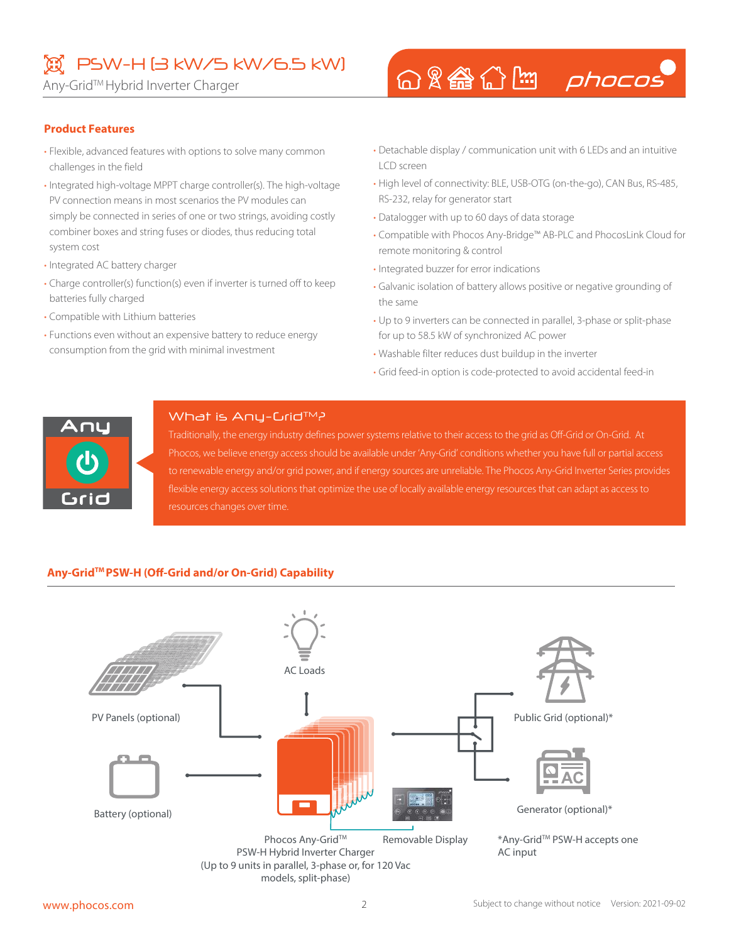## PSW-H (3 kW/5 kW/6.5 kW)

Any-Grid™ Hybrid Inverter Charger

# 命&●命图 phocos

#### **Product Features**

- Flexible, advanced features with options to solve many common challenges in the field
- Integrated high-voltage MPPT charge controller(s). The high-voltage PV connection means in most scenarios the PV modules can simply be connected in series of one or two strings, avoiding costly combiner boxes and string fuses or diodes, thus reducing total system cost
- Integrated AC battery charger
- Charge controller(s) function(s) even if inverter is turned off to keep batteries fully charged
- Compatible with Lithium batteries
- Functions even without an expensive battery to reduce energy consumption from the grid with minimal investment
- Detachable display / communication unit with 6 LEDs and an intuitive LCD screen
- High level of connectivity: BLE, USB-OTG (on-the-go), CAN Bus, RS-485, RS-232, relay for generator start
- Datalogger with up to 60 days of data storage
- Compatible with Phocos Any-Bridge™ AB-PLC and PhocosLink Cloud for remote monitoring & control
- Integrated buzzer for error indications
- Galvanic isolation of battery allows positive or negative grounding of the same
- Up to 9 inverters can be connected in parallel, 3-phase or split-phase for up to 58.5 kW of synchronized AC power
- Washable filter reduces dust buildup in the inverter
- Grid feed-in option is code-protected to avoid accidental feed-in



#### What is Any-Crid™?

Traditionally, the energy industry defines power systems relative to their access to the grid as Off-Grid or On-Grid. At Phocos, we believe energy access should be available under 'Any-Grid' conditions whether you have full or partial access to renewable energy and/or grid power, and if energy sources are unreliable. The Phocos Any-Grid Inverter Series provides flexible energy access solutions that optimize the use of locally available energy resources that can adapt as access to resources changes over time.

#### **Any-GridTM PSW-H (Off-Grid and/or On-Grid) Capability**